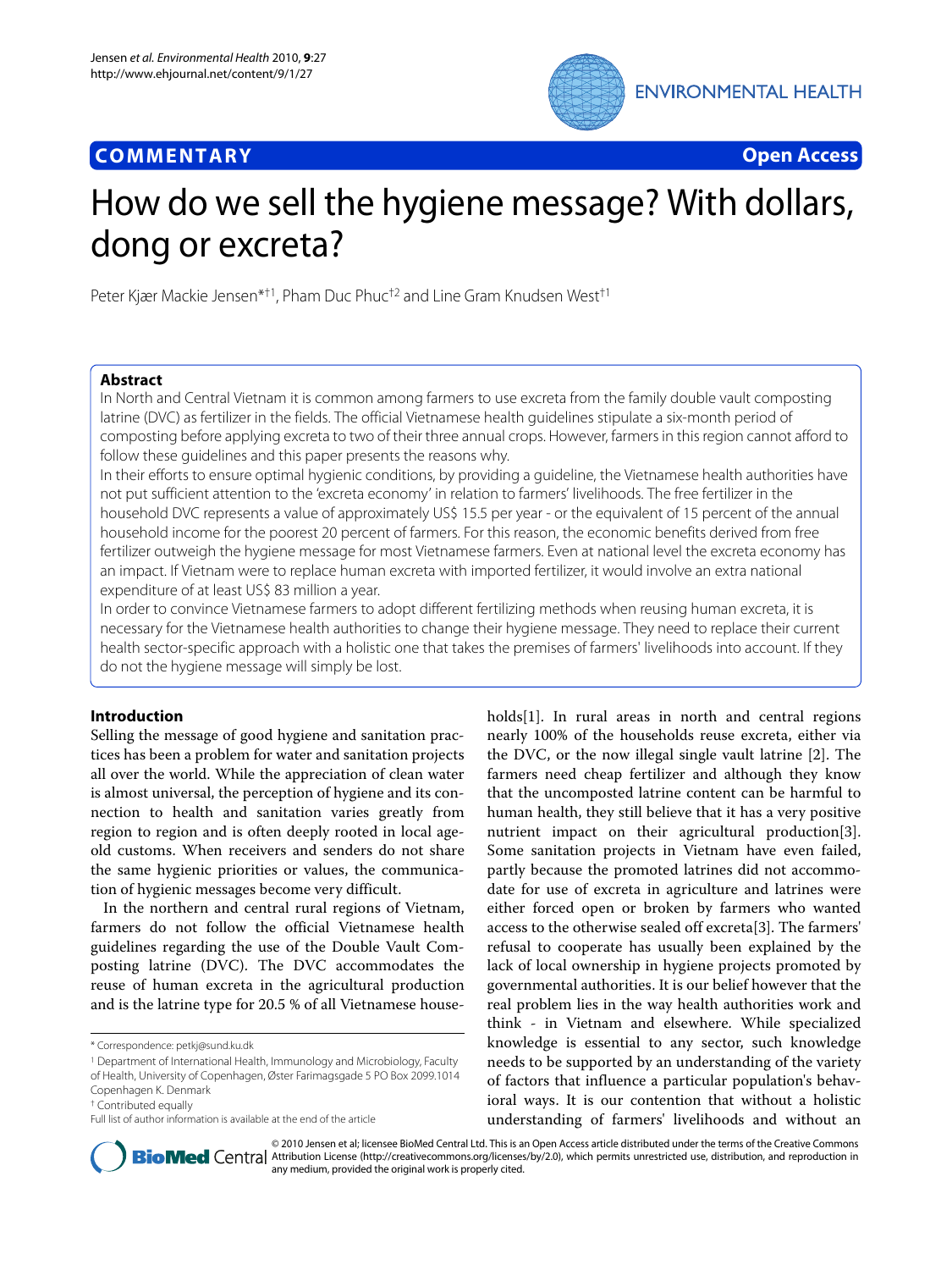# **COMMENTARY Open Access**



# How do we sell the hygiene message? With dollars, dong or excreta?

Peter Kjær Mackie Jensen\*†1, Pham Duc Phuc†2 and Line Gram Knudsen West†1

# **Abstract**

In North and Central Vietnam it is common among farmers to use excreta from the family double vault composting latrine (DVC) as fertilizer in the fields. The official Vietnamese health guidelines stipulate a six-month period of composting before applying excreta to two of their three annual crops. However, farmers in this region cannot afford to follow these guidelines and this paper presents the reasons why.

In their efforts to ensure optimal hygienic conditions, by providing a guideline, the Vietnamese health authorities have not put sufficient attention to the 'excreta economy' in relation to farmers' livelihoods. The free fertilizer in the household DVC represents a value of approximately US\$ 15.5 per year - or the equivalent of 15 percent of the annual household income for the poorest 20 percent of farmers. For this reason, the economic benefits derived from free fertilizer outweigh the hygiene message for most Vietnamese farmers. Even at national level the excreta economy has an impact. If Vietnam were to replace human excreta with imported fertilizer, it would involve an extra national expenditure of at least US\$ 83 million a year.

In order to convince Vietnamese farmers to adopt different fertilizing methods when reusing human excreta, it is necessary for the Vietnamese health authorities to change their hygiene message. They need to replace their current health sector-specific approach with a holistic one that takes the premises of farmers' livelihoods into account. If they do not the hygiene message will simply be lost.

# **Introduction**

Selling the message of good hygiene and sanitation practices has been a problem for water and sanitation projects all over the world. While the appreciation of clean water is almost universal, the perception of hygiene and its connection to health and sanitation varies greatly from region to region and is often deeply rooted in local ageold customs. When receivers and senders do not share the same hygienic priorities or values, the communication of hygienic messages become very difficult.

In the northern and central rural regions of Vietnam, farmers do not follow the official Vietnamese health guidelines regarding the use of the Double Vault Composting latrine (DVC). The DVC accommodates the reuse of human excreta in the agricultural production and is the latrine type for 20.5 % of all Vietnamese house-

† Contributed equally

holds[\[1](#page-2-0)]. In rural areas in north and central regions nearly 100% of the households reuse excreta, either via the DVC, or the now illegal single vault latrine [[2](#page-2-1)]. The farmers need cheap fertilizer and although they know that the uncomposted latrine content can be harmful to human health, they still believe that it has a very positive nutrient impact on their agricultural production[\[3](#page-2-2)]. Some sanitation projects in Vietnam have even failed, partly because the promoted latrines did not accommodate for use of excreta in agriculture and latrines were either forced open or broken by farmers who wanted access to the otherwise sealed off excreta[\[3](#page-2-2)]. The farmers' refusal to cooperate has usually been explained by the lack of local ownership in hygiene projects promoted by governmental authorities. It is our belief however that the real problem lies in the way health authorities work and think - in Vietnam and elsewhere. While specialized knowledge is essential to any sector, such knowledge needs to be supported by an understanding of the variety of factors that influence a particular population's behavioral ways. It is our contention that without a holistic understanding of farmers' livelihoods and without an



© 2010 Jensen et al; licensee BioMed Central Ltd. This is an Open Access article distributed under the terms of the Creative Commons **Bio Med Centra** Attribution License (http://creativecommons.org/licenses/by/2.0), which permits unrestricted use, distribution, and reproduction in any medium, provided the original work is properly cited.

<sup>\*</sup> Correspondence: petkj@sund.ku.dk

<sup>1</sup> Department of International Health, Immunology and Microbiology, Faculty of Health, University of Copenhagen, Øster Farimagsgade 5 PO Box 2099.1014 Copenhagen K. Denmark

Full list of author information is available at the end of the article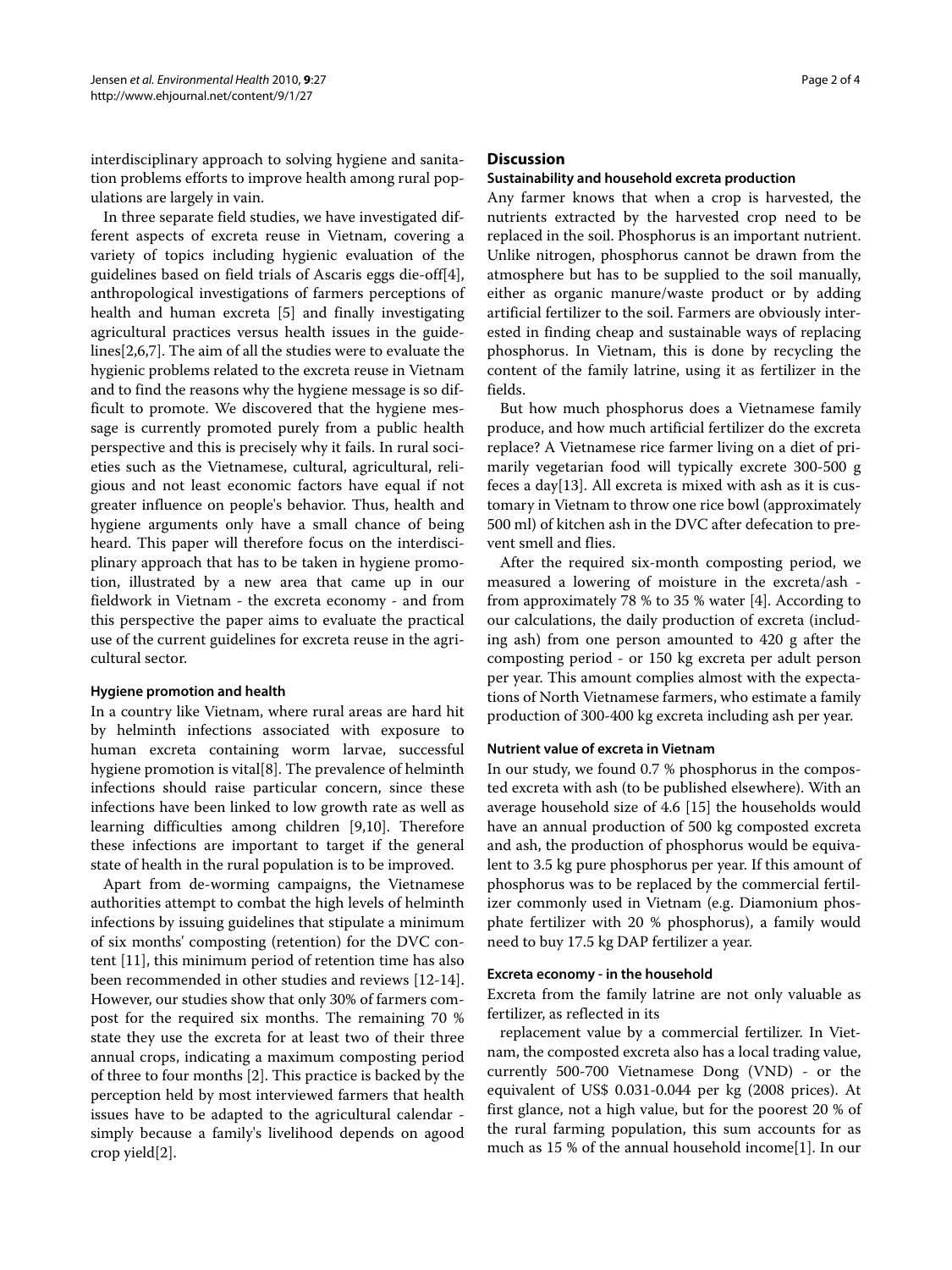interdisciplinary approach to solving hygiene and sanitation problems efforts to improve health among rural populations are largely in vain.

In three separate field studies, we have investigated different aspects of excreta reuse in Vietnam, covering a variety of topics including hygienic evaluation of the guidelines based on field trials of Ascaris eggs die-off[\[4](#page-2-3)], anthropological investigations of farmers perceptions of health and human excreta [[5\]](#page-2-4) and finally investigating agricultural practices versus health issues in the guidelines[[2,](#page-2-1)[6,](#page-2-5)[7\]](#page-2-6). The aim of all the studies were to evaluate the hygienic problems related to the excreta reuse in Vietnam and to find the reasons why the hygiene message is so difficult to promote. We discovered that the hygiene message is currently promoted purely from a public health perspective and this is precisely why it fails. In rural societies such as the Vietnamese, cultural, agricultural, religious and not least economic factors have equal if not greater influence on people's behavior. Thus, health and hygiene arguments only have a small chance of being heard. This paper will therefore focus on the interdisciplinary approach that has to be taken in hygiene promotion, illustrated by a new area that came up in our fieldwork in Vietnam - the excreta economy - and from this perspective the paper aims to evaluate the practical use of the current guidelines for excreta reuse in the agricultural sector.

## **Hygiene promotion and health**

In a country like Vietnam, where rural areas are hard hit by helminth infections associated with exposure to human excreta containing worm larvae, successful hygiene promotion is vital[[8\]](#page-2-7). The prevalence of helminth infections should raise particular concern, since these infections have been linked to low growth rate as well as learning difficulties among children [[9,](#page-2-8)[10\]](#page-2-9). Therefore these infections are important to target if the general state of health in the rural population is to be improved.

Apart from de-worming campaigns, the Vietnamese authorities attempt to combat the high levels of helminth infections by issuing guidelines that stipulate a minimum of six months' composting (retention) for the DVC content [[11](#page-2-10)], this minimum period of retention time has also been recommended in other studies and reviews [[12-](#page-2-11)[14](#page-2-12)]. However, our studies show that only 30% of farmers compost for the required six months. The remaining 70 % state they use the excreta for at least two of their three annual crops, indicating a maximum composting period of three to four months [\[2](#page-2-1)]. This practice is backed by the perception held by most interviewed farmers that health issues have to be adapted to the agricultural calendar simply because a family's livelihood depends on agood crop yield[\[2](#page-2-1)].

# **Discussion**

# **Sustainability and household excreta production**

Any farmer knows that when a crop is harvested, the nutrients extracted by the harvested crop need to be replaced in the soil. Phosphorus is an important nutrient. Unlike nitrogen, phosphorus cannot be drawn from the atmosphere but has to be supplied to the soil manually, either as organic manure/waste product or by adding artificial fertilizer to the soil. Farmers are obviously interested in finding cheap and sustainable ways of replacing phosphorus. In Vietnam, this is done by recycling the content of the family latrine, using it as fertilizer in the fields.

But how much phosphorus does a Vietnamese family produce, and how much artificial fertilizer do the excreta replace? A Vietnamese rice farmer living on a diet of primarily vegetarian food will typically excrete 300-500 g feces a day[\[13\]](#page-2-13). All excreta is mixed with ash as it is customary in Vietnam to throw one rice bowl (approximately 500 ml) of kitchen ash in the DVC after defecation to prevent smell and flies.

After the required six-month composting period, we measured a lowering of moisture in the excreta/ash from approximately 78 % to 35 % water [\[4\]](#page-2-3). According to our calculations, the daily production of excreta (including ash) from one person amounted to 420 g after the composting period - or 150 kg excreta per adult person per year. This amount complies almost with the expectations of North Vietnamese farmers, who estimate a family production of 300-400 kg excreta including ash per year.

## **Nutrient value of excreta in Vietnam**

In our study, we found 0.7 % phosphorus in the composted excreta with ash (to be published elsewhere). With an average household size of 4.6 [[15\]](#page-3-0) the households would have an annual production of 500 kg composted excreta and ash, the production of phosphorus would be equivalent to 3.5 kg pure phosphorus per year. If this amount of phosphorus was to be replaced by the commercial fertilizer commonly used in Vietnam (e.g. Diamonium phosphate fertilizer with 20 % phosphorus), a family would need to buy 17.5 kg DAP fertilizer a year.

#### **Excreta economy - in the household**

Excreta from the family latrine are not only valuable as fertilizer, as reflected in its

replacement value by a commercial fertilizer. In Vietnam, the composted excreta also has a local trading value, currently 500-700 Vietnamese Dong (VND) - or the equivalent of US\$ 0.031-0.044 per kg (2008 prices). At first glance, not a high value, but for the poorest 20 % of the rural farming population, this sum accounts for as much as 15 % of the annual household income[[1\]](#page-2-0). In our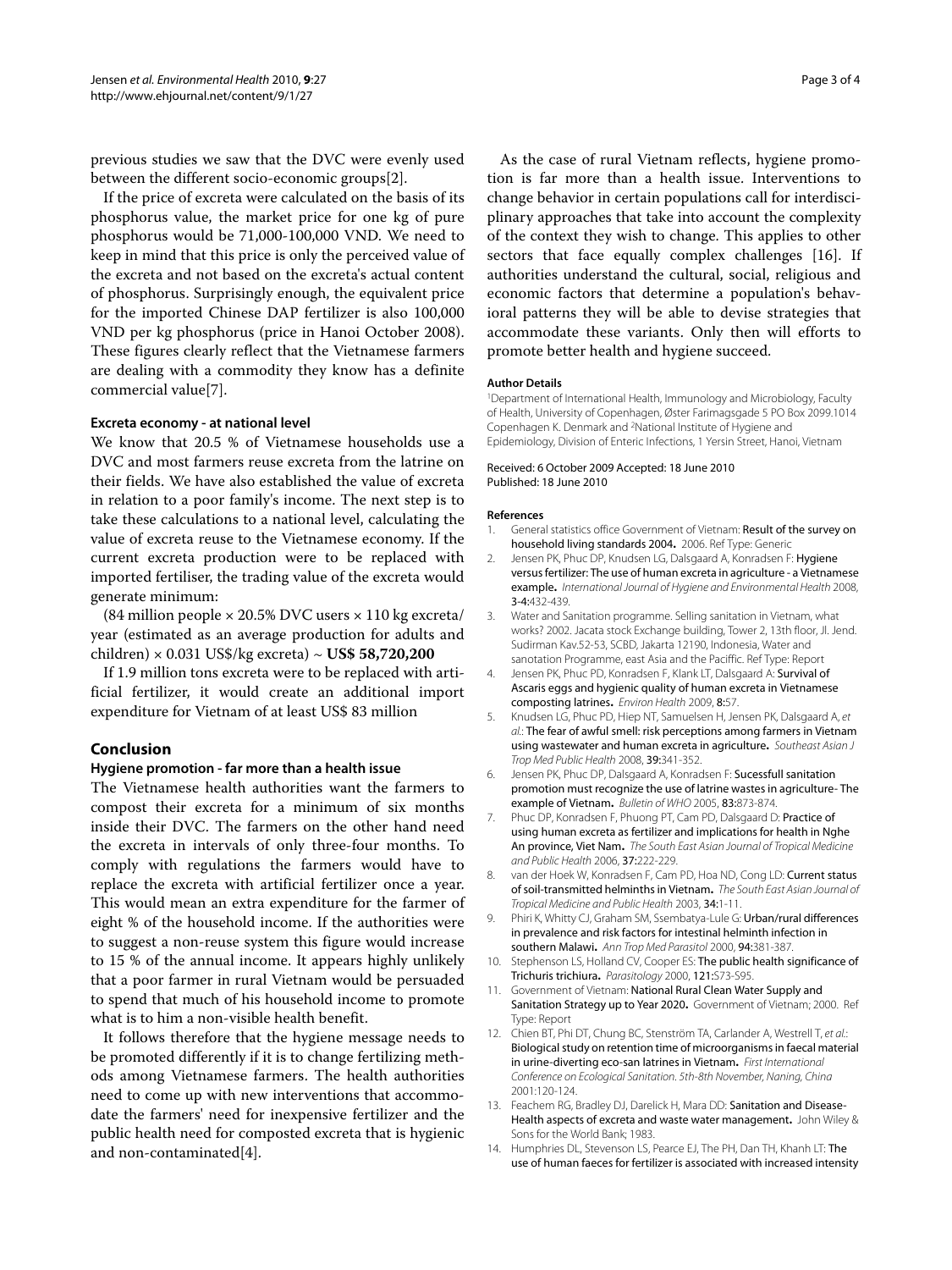previous studies we saw that the DVC were evenly used between the different socio-economic groups[[2\]](#page-2-1).

If the price of excreta were calculated on the basis of its phosphorus value, the market price for one kg of pure phosphorus would be 71,000-100,000 VND. We need to keep in mind that this price is only the perceived value of the excreta and not based on the excreta's actual content of phosphorus. Surprisingly enough, the equivalent price for the imported Chinese DAP fertilizer is also 100,000 VND per kg phosphorus (price in Hanoi October 2008). These figures clearly reflect that the Vietnamese farmers are dealing with a commodity they know has a definite commercial value[[7\]](#page-2-6).

## **Excreta economy - at national level**

We know that 20.5 % of Vietnamese households use a DVC and most farmers reuse excreta from the latrine on their fields. We have also established the value of excreta in relation to a poor family's income. The next step is to take these calculations to a national level, calculating the value of excreta reuse to the Vietnamese economy. If the current excreta production were to be replaced with imported fertiliser, the trading value of the excreta would generate minimum:

(84 million people  $\times$  20.5% DVC users  $\times$  110 kg excreta/ year (estimated as an average production for adults and children) × 0.031 US\$/kg excreta) ~ **US\$ 58,720,200**

If 1.9 million tons excreta were to be replaced with artificial fertilizer, it would create an additional import expenditure for Vietnam of at least US\$ 83 million

#### **Conclusion**

#### **Hygiene promotion - far more than a health issue**

The Vietnamese health authorities want the farmers to compost their excreta for a minimum of six months inside their DVC. The farmers on the other hand need the excreta in intervals of only three-four months. To comply with regulations the farmers would have to replace the excreta with artificial fertilizer once a year. This would mean an extra expenditure for the farmer of eight % of the household income. If the authorities were to suggest a non-reuse system this figure would increase to 15 % of the annual income. It appears highly unlikely that a poor farmer in rural Vietnam would be persuaded to spend that much of his household income to promote what is to him a non-visible health benefit.

It follows therefore that the hygiene message needs to be promoted differently if it is to change fertilizing methods among Vietnamese farmers. The health authorities need to come up with new interventions that accommodate the farmers' need for inexpensive fertilizer and the public health need for composted excreta that is hygienic and non-contaminated[\[4](#page-2-3)].

As the case of rural Vietnam reflects, hygiene promotion is far more than a health issue. Interventions to change behavior in certain populations call for interdisciplinary approaches that take into account the complexity of the context they wish to change. This applies to other sectors that face equally complex challenges [\[16](#page-3-1)]. If authorities understand the cultural, social, religious and economic factors that determine a population's behavioral patterns they will be able to devise strategies that accommodate these variants. Only then will efforts to promote better health and hygiene succeed.

#### **Author Details**

1Department of International Health, Immunology and Microbiology, Faculty of Health, University of Copenhagen, Øster Farimagsgade 5 PO Box 2099.1014 Copenhagen K. Denmark and 2National Institute of Hygiene and Epidemiology, Division of Enteric Infections, 1 Yersin Street, Hanoi, Vietnam

#### Received: 6 October 2009 Accepted: 18 June 2010 Published: 18 June 2010

#### **References**

- <span id="page-2-0"></span>1. General statistics office Government of Vietnam: Result of the survey on household living standards 2004**.** 2006. Ref Type: Generic
- <span id="page-2-1"></span>2. Jensen PK, Phuc DP, Knudsen LG, Dalsgaard A, Konradsen F: Hygiene versus fertilizer: The use of human excreta in agriculture - a Vietnamese example**.** International Journal of Hygiene and Environmental Health 2008, 3-4:432-439.
- <span id="page-2-2"></span>3. Water and Sanitation programme. Selling sanitation in Vietnam, what works? 2002. Jacata stock Exchange building, Tower 2, 13th floor, Jl. Jend. Sudirman Kav.52-53, SCBD, Jakarta 12190, Indonesia, Water and sanotation Programme, east Asia and the Paciffic. Ref Type: Report
- <span id="page-2-3"></span>4. Jensen PK, Phuc PD, Konradsen F, Klank LT, Dalsgaard A: Survival of Ascaris eggs and hygienic quality of human excreta in Vietnamese composting latrines**.** Environ Health 2009, 8:57.
- <span id="page-2-4"></span>5. Knudsen LG, Phuc PD, Hiep NT, Samuelsen H, Jensen PK, Dalsgaard A, et al.: The fear of awful smell: risk perceptions among farmers in Vietnam using wastewater and human excreta in agriculture**.** Southeast Asian J Trop Med Public Health 2008, 39:341-352.
- <span id="page-2-5"></span>6. Jensen PK, Phuc DP, Dalsgaard A, Konradsen F: Sucessfull sanitation promotion must recognize the use of latrine wastes in agriculture- The example of Vietnam**.** Bulletin of WHO 2005, 83:873-874.
- <span id="page-2-6"></span>Phuc DP, Konradsen F, Phuong PT, Cam PD, Dalsgaard D: Practice of using human excreta as fertilizer and implications for health in Nghe An province, Viet Nam**.** The South East Asian Journal of Tropical Medicine and Public Health 2006, 37:222-229.
- <span id="page-2-7"></span>8. van der Hoek W, Konradsen F, Cam PD, Hoa ND, Cong LD: Current status of soil-transmitted helminths in Vietnam**.** The South East Asian Journal of Tropical Medicine and Public Health 2003, 34:1-11.
- <span id="page-2-8"></span>9. Phiri K, Whitty CJ, Graham SM, Ssembatya-Lule G: Urban/rural differences in prevalence and risk factors for intestinal helminth infection in southern Malawi**.** Ann Trop Med Parasitol 2000, 94:381-387.
- <span id="page-2-9"></span>10. Stephenson LS, Holland CV, Cooper ES: The public health significance of Trichuris trichiura**.** Parasitology 2000, 121:S73-S95.
- <span id="page-2-10"></span>11. Government of Vietnam: National Rural Clean Water Supply and Sanitation Strategy up to Year 2020**.** Government of Vietnam; 2000. Ref Type: Report
- <span id="page-2-11"></span>12. Chien BT, Phi DT, Chung BC, Stenström TA, Carlander A, Westrell T, et al.: Biological study on retention time of microorganisms in faecal material in urine-diverting eco-san latrines in Vietnam**.** First International Conference on Ecological Sanitation. 5th-8th November, Naning, China 2001:120-124.
- <span id="page-2-13"></span>13. Feachem RG, Bradley DJ, Darelick H, Mara DD: Sanitation and Disease-Health aspects of excreta and waste water management**.** John Wiley & Sons for the World Bank; 1983.
- <span id="page-2-12"></span>14. Humphries DL, Stevenson LS, Pearce EJ, The PH, Dan TH, Khanh LT: The use of human faeces for fertilizer is associated with increased intensity